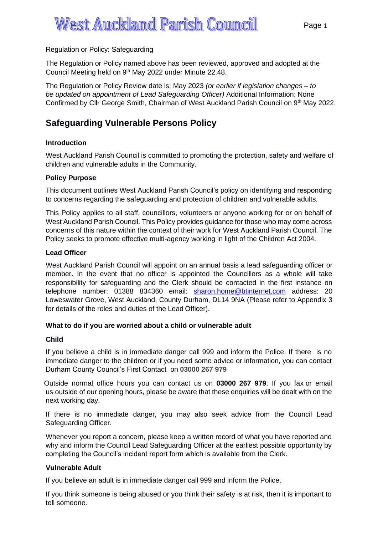# West Auckland Parish Council and Parish Council and Parish Council and Parish Council and Parish Council and P<br>Auckland Parish Council and Parish Council and Parish Council and Parish Council and Parish Council and Parish Regulation or Policy: Safeguarding

The Regulation or Policy named above has been reviewed, approved and adopted at the Council Meeting held on 9<sup>th</sup> May 2022 under Minute 22.48.

The Regulation or Policy Review date is; May 2023 *(or earlier if legislation changes – to be updated on appointment of Lead Safeguarding Officer)* Additional Information; None Confirmed by Cllr George Smith, Chairman of West Auckland Parish Council on 9th May 2022.

# **Safeguarding Vulnerable Persons Policy**

# **Introduction**

West Auckland Parish Council is committed to promoting the protection, safety and welfare of children and vulnerable adults in the Community.

#### **Policy Purpose**

This document outlines West Auckland Parish Council's policy on identifying and responding to concerns regarding the safeguarding and protection of children and vulnerable adults.

This Policy applies to all staff, councillors, volunteers or anyone working for or on behalf of West Auckland Parish Council. This Policy provides guidance for those who may come across concerns of this nature within the context of their work for West Auckland Parish Council. The Policy seeks to promote effective multi-agency working in light of the Children Act 2004.

## **Lead Officer**

West Auckland Parish Council will appoint on an annual basis a lead safeguarding officer or member. In the event that no officer is appointed the Councillors as a whole will take responsibility for safeguarding and the Clerk should be contacted in the first instance on telephone number: 01388 834360 email: [sharon.home@btinternet.com](mailto:sharon.home@btinternet.com) address: 20 Loweswater Grove, West Auckland, County Durham, DL14 9NA (Please refer to Appendix 3 for details of the roles and duties of the Lead Officer).

# **What to do if you are worried about a child or vulnerable adult**

#### **Child**

If you believe a child is in immediate danger call 999 and inform the Police. If there is no immediate danger to the children or if you need some advice or information, you can contact Durham County Council's First Contact on **03000 267 979**

 Outside normal office hours you can contact us on **03000 267 979**. If you fax or email us outside of our opening hours, please be aware that these enquiries will be dealt with on the next working day.

If there is no immediate danger, you may also seek advice from the Council Lead Safeguarding Officer.

Whenever you report a concern, please keep a written record of what you have reported and why and inform the Council Lead Safeguarding Officer at the earliest possible opportunity by completing the Council's incident report form which is available from the Clerk.

# **Vulnerable Adult**

If you believe an adult is in immediate danger call 999 and inform the Police.

If you think someone is being abused or you think their safety is at risk, then it is important to tell someone.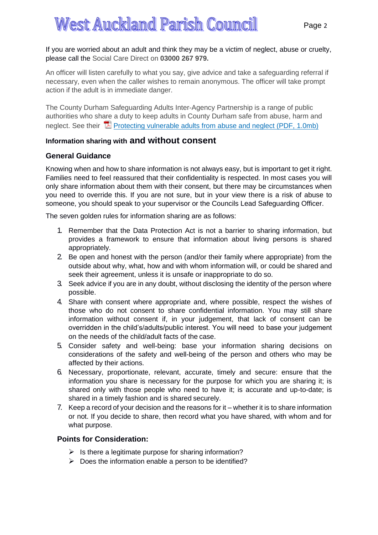West Auckland Parish Council If you are worried about an adult and think they may be a victim of neglect, abuse or cruelty, please call the Social Care Direct on **03000 267 979.**

An officer will listen carefully to what you say, give advice and take a safeguarding referral if necessary, even when the caller wishes to remain anonymous. The officer will take prompt action if the adult is in immediate danger.

The County Durham Safeguarding Adults Inter-Agency Partnership is a range of public authorities who share a duty to keep adults in County Durham safe from abuse, harm and neglect. See their  $\mathbb Z$  Protecting [vulnerable](https://www.durham.gov.uk/media/8710/Protecting-vulnerable-adults-from-abuse-and-neglect/pdf/Protecting_VulnerableAdults.pdf?m=636199069921930000) adults from abuse and neglect (PDF, 1.0mb)

# **Information sharing with and without consent**

# **General Guidance**

Knowing when and how to share information is not always easy, but is important to get it right. Families need to feel reassured that their confidentiality is respected. In most cases you will only share information about them with their consent, but there may be circumstances when you need to override this. If you are not sure, but in your view there is a risk of abuse to someone, you should speak to your supervisor or the Councils Lead Safeguarding Officer.

The seven golden rules for information sharing are as follows:

- 1. Remember that the Data Protection Act is not a barrier to sharing information, but provides a framework to ensure that information about living persons is shared appropriately.
- 2. Be open and honest with the person (and/or their family where appropriate) from the outside about why, what, how and with whom information will, or could be shared and seek their agreement, unless it is unsafe or inappropriate to do so.
- 3. Seek advice if you are in any doubt, without disclosing the identity of the person where possible.
- 4. Share with consent where appropriate and, where possible, respect the wishes of those who do not consent to share confidential information. You may still share information without consent if, in your judgement, that lack of consent can be overridden in the child's/adults/public interest. You will need to base your judgement on the needs of the child/adult facts of the case.
- 5. Consider safety and well-being: base your information sharing decisions on considerations of the safety and well-being of the person and others who may be affected by their actions.
- 6. Necessary, proportionate, relevant, accurate, timely and secure: ensure that the information you share is necessary for the purpose for which you are sharing it; is shared only with those people who need to have it; is accurate and up-to-date; is shared in a timely fashion and is shared securely.
- 7. Keep a record of your decision and the reasons for it whether it is to share information or not. If you decide to share, then record what you have shared, with whom and for what purpose.

# **Points for Consideration:**

- $\triangleright$  Is there a legitimate purpose for sharing information?
- $\triangleright$  Does the information enable a person to be identified?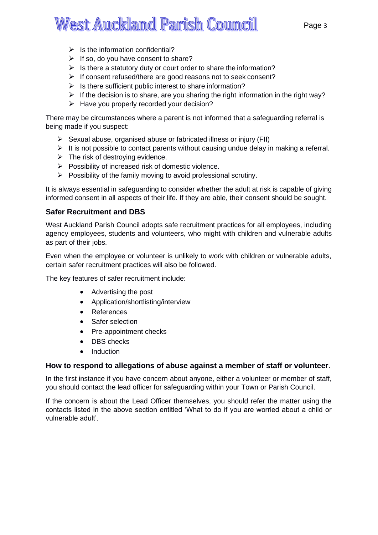- $\triangleright$  Is the information confidential?
- $\triangleright$  If so, do you have consent to share?
- $\triangleright$  Is there a statutory duty or court order to share the information?
- ➢ If consent refused/there are good reasons not to seek consent?
- $\triangleright$  Is there sufficient public interest to share information?
- $\triangleright$  If the decision is to share, are you sharing the right information in the right way?
- $\triangleright$  Have you properly recorded your decision?

There may be circumstances where a parent is not informed that a safeguarding referral is being made if you suspect:

- $\triangleright$  Sexual abuse, organised abuse or fabricated illness or injury (FII)
- $\triangleright$  It is not possible to contact parents without causing undue delay in making a referral.
- $\triangleright$  The risk of destroying evidence.
- ➢ Possibility of increased risk of domestic violence.
- $\triangleright$  Possibility of the family moving to avoid professional scrutiny.

It is always essential in safeguarding to consider whether the adult at risk is capable of giving informed consent in all aspects of their life. If they are able, their consent should be sought.

# **Safer Recruitment and DBS**

West Auckland Parish Council adopts safe recruitment practices for all employees, including agency employees, students and volunteers, who might with children and vulnerable adults as part of their jobs.

Even when the employee or volunteer is unlikely to work with children or vulnerable adults, certain safer recruitment practices will also be followed.

The key features of safer recruitment include:

- Advertising the post
- Application/shortlisting/interview
- References
- Safer selection
- Pre-appointment checks
- DBS checks
- **Induction**

# **How to respond to allegations of abuse against a member of staff or volunteer**.

In the first instance if you have concern about anyone, either a volunteer or member of staff, you should contact the lead officer for safeguarding within your Town or Parish Council.

If the concern is about the Lead Officer themselves, you should refer the matter using the contacts listed in the above section entitled 'What to do if you are worried about a child or vulnerable adult'.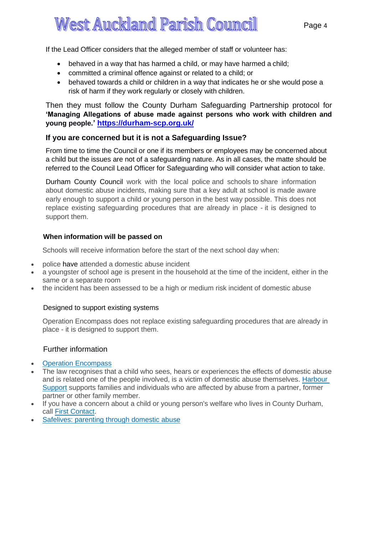West Auckland Parish Council If the Lead Officer considers that the alleged member of staff or volunteer has:

- behaved in a way that has harmed a child, or may have harmed a child;
- committed a criminal offence against or related to a child; or
- behaved towards a child or children in a way that indicates he or she would pose a risk of harm if they work regularly or closely with children.

Then they must follow the County Durham Safeguarding Partnership protocol for **'Managing Allegations of abuse made against persons who work with children and young people.' <https://durham-scp.org.uk/>**

# **If you are concerned but it is not a Safeguarding Issue?**

From time to time the Council or one if its members or employees may be concerned about a child but the issues are not of a safeguarding nature. As in all cases, the matte should be referred to the Council Lead Officer for Safeguarding who will consider what action to take.

Durham County Council work with the local police and schools to share information about domestic abuse incidents, making sure that a key adult at school is made aware early enough to support a child or young person in the best way possible. This does not replace existing safeguarding procedures that are already in place - it is designed to support them.

# **When information will be passed on**

Schools will receive information before the start of the next school day when:

- police have attended a domestic abuse incident
- a youngster of school age is present in the household at the time of the incident, either in the same or a separate room
- the incident has been assessed to be a high or medium risk incident of domestic abuse

# Designed to support existing systems

Operation Encompass does not replace existing safeguarding procedures that are already in place - it is designed to support them.

# Further information

- **Operation [Encompass](http://www.operationencompass.org/)**
- The law recognises that a child who sees, hears or experiences the effects of domestic abuse and is related one of the people involved, is a victim of domestic abuse themselves. [Harbour](http://www.myharbour.org.uk/) [Support](http://www.myharbour.org.uk/) supports families and individuals who are affected by abuse from a partner, former partner or other family member.
- If you have a concern about a child or young person's welfare who lives in County Durham, call First [Contact.](https://www.durham.gov.uk/firstcontact)
- [Safelives:](https://safelives.org.uk/spotlights/spotlight-8-parenting-through-domestic-abuse) parenting through domestic abuse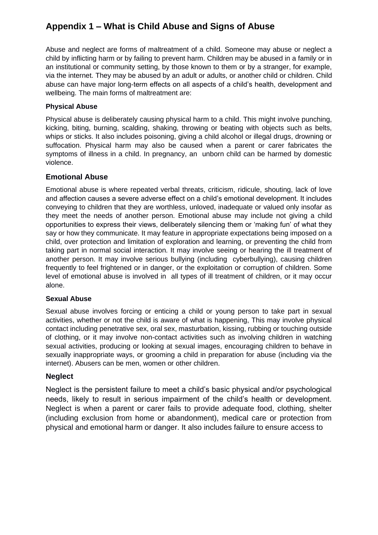# **Appendix 1 – What is Child Abuse and Signs of Abuse**

Abuse and neglect are forms of maltreatment of a child. Someone may abuse or neglect a child by inflicting harm or by failing to prevent harm. Children may be abused in a family or in an institutional or community setting, by those known to them or by a stranger, for example, via the internet. They may be abused by an adult or adults, or another child or children. Child abuse can have major long-term effects on all aspects of a child's health, development and wellbeing. The main forms of maltreatment are:

# **Physical Abuse**

Physical abuse is deliberately causing physical harm to a child. This might involve punching, kicking, biting, burning, scalding, shaking, throwing or beating with objects such as belts, whips or sticks. It also includes poisoning, giving a child alcohol or illegal drugs, drowning or suffocation. Physical harm may also be caused when a parent or carer fabricates the symptoms of illness in a child. In pregnancy, an unborn child can be harmed by domestic violence.

## **Emotional Abuse**

Emotional abuse is where repeated verbal threats, criticism, ridicule, shouting, lack of love and affection causes a severe adverse effect on a child's emotional development. It includes conveying to children that they are worthless, unloved, inadequate or valued only insofar as they meet the needs of another person. Emotional abuse may include not giving a child opportunities to express their views, deliberately silencing them or 'making fun' of what they say or how they communicate. It may feature in appropriate expectations being imposed on a child, over protection and limitation of exploration and learning, or preventing the child from taking part in normal social interaction. It may involve seeing or hearing the ill treatment of another person. It may involve serious bullying (including cyberbullying), causing children frequently to feel frightened or in danger, or the exploitation or corruption of children. Some level of emotional abuse is involved in all types of ill treatment of children, or it may occur alone.

#### **Sexual Abuse**

Sexual abuse involves forcing or enticing a child or young person to take part in sexual activities, whether or not the child is aware of what is happening, This may involve physical contact including penetrative sex, oral sex, masturbation, kissing, rubbing or touching outside of clothing, or it may involve non-contact activities such as involving children in watching sexual activities, producing or looking at sexual images, encouraging children to behave in sexually inappropriate ways, or grooming a child in preparation for abuse (including via the internet). Abusers can be men, women or other children.

#### **Neglect**

Neglect is the persistent failure to meet a child's basic physical and/or psychological needs, likely to result in serious impairment of the child's health or development. Neglect is when a parent or carer fails to provide adequate food, clothing, shelter (including exclusion from home or abandonment), medical care or protection from physical and emotional harm or danger. It also includes failure to ensure access to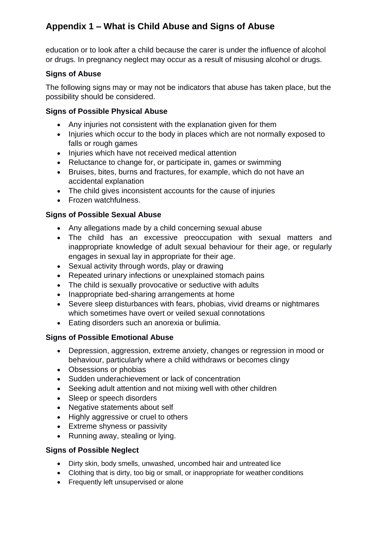# **Appendix 1 – What is Child Abuse and Signs of Abuse**

education or to look after a child because the carer is under the influence of alcohol or drugs. In pregnancy neglect may occur as a result of misusing alcohol or drugs.

# **Signs of Abuse**

The following signs may or may not be indicators that abuse has taken place, but the possibility should be considered.

# **Signs of Possible Physical Abuse**

- Any injuries not consistent with the explanation given for them
- Injuries which occur to the body in places which are not normally exposed to falls or rough games
- Injuries which have not received medical attention
- Reluctance to change for, or participate in, games or swimming
- Bruises, bites, burns and fractures, for example, which do not have an accidental explanation
- The child gives inconsistent accounts for the cause of injuries
- Frozen watchfulness.

# **Signs of Possible Sexual Abuse**

- Any allegations made by a child concerning sexual abuse
- The child has an excessive preoccupation with sexual matters and inappropriate knowledge of adult sexual behaviour for their age, or regularly engages in sexual lay in appropriate for their age.
- Sexual activity through words, play or drawing
- Repeated urinary infections or unexplained stomach pains
- The child is sexually provocative or seductive with adults
- Inappropriate bed-sharing arrangements at home
- Severe sleep disturbances with fears, phobias, vivid dreams or nightmares which sometimes have overt or veiled sexual connotations
- Eating disorders such an anorexia or bulimia.

# **Signs of Possible Emotional Abuse**

- Depression, aggression, extreme anxiety, changes or regression in mood or behaviour, particularly where a child withdraws or becomes clingy
- Obsessions or phobias
- Sudden underachievement or lack of concentration
- Seeking adult attention and not mixing well with other children
- Sleep or speech disorders
- Negative statements about self
- Highly aggressive or cruel to others
- Extreme shyness or passivity
- Running away, stealing or lying.

# **Signs of Possible Neglect**

- Dirty skin, body smells, unwashed, uncombed hair and untreated lice
- Clothing that is dirty, too big or small, or inappropriate for weather conditions
- Frequently left unsupervised or alone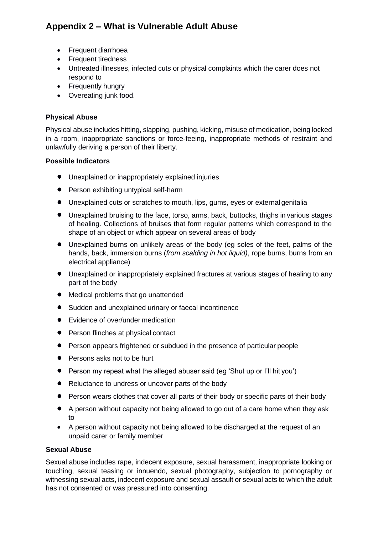- Frequent diarrhoea
- Frequent tiredness
- Untreated illnesses, infected cuts or physical complaints which the carer does not respond to
- Frequently hungry
- Overeating junk food.

# **Physical Abuse**

Physical abuse includes hitting, slapping, pushing, kicking, misuse of medication, being locked in a room, inappropriate sanctions or force-feeing, inappropriate methods of restraint and unlawfully deriving a person of their liberty.

# **Possible Indicators**

- Unexplained or inappropriately explained injuries
- Person exhibiting untypical self-harm
- Unexplained cuts or scratches to mouth, lips, gums, eyes or external genitalia
- Unexplained bruising to the face, torso, arms, back, buttocks, thighs in various stages of healing. Collections of bruises that form regular patterns which correspond to the shape of an object or which appear on several areas of body
- Unexplained burns on unlikely areas of the body (eg soles of the feet, palms of the hands, back, immersion burns (*from scalding in hot liquid)*, rope burns, burns from an electrical appliance)
- Unexplained or inappropriately explained fractures at various stages of healing to any part of the body
- Medical problems that go unattended
- Sudden and unexplained urinary or faecal incontinence
- Evidence of over/under medication
- Person flinches at physical contact
- Person appears frightened or subdued in the presence of particular people
- Persons asks not to be hurt
- Person my repeat what the alleged abuser said (eg 'Shut up or I'll hit you')
- Reluctance to undress or uncover parts of the body
- Person wears clothes that cover all parts of their body or specific parts of their body
- A person without capacity not being allowed to go out of a care home when they ask to
- A person without capacity not being allowed to be discharged at the request of an unpaid carer or family member

# **Sexual Abuse**

Sexual abuse includes rape, indecent exposure, sexual harassment, inappropriate looking or touching, sexual teasing or innuendo, sexual photography, subjection to pornography or witnessing sexual acts, indecent exposure and sexual assault or sexual acts to which the adult has not consented or was pressured into consenting.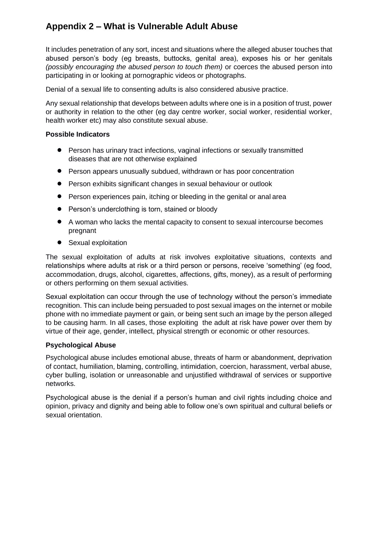It includes penetration of any sort, incest and situations where the alleged abuser touches that abused person's body (eg breasts, buttocks, genital area), exposes his or her genitals *(possibly encouraging the abused person to touch them)* or coerces the abused person into participating in or looking at pornographic videos or photographs.

Denial of a sexual life to consenting adults is also considered abusive practice.

Any sexual relationship that develops between adults where one is in a position of trust, power or authority in relation to the other (eg day centre worker, social worker, residential worker, health worker etc) may also constitute sexual abuse.

#### **Possible Indicators**

- Person has urinary tract infections, vaginal infections or sexually transmitted diseases that are not otherwise explained
- Person appears unusually subdued, withdrawn or has poor concentration
- Person exhibits significant changes in sexual behaviour or outlook
- Person experiences pain, itching or bleeding in the genital or anal area
- Person's underclothing is torn, stained or bloody
- A woman who lacks the mental capacity to consent to sexual intercourse becomes pregnant
- Sexual exploitation

The sexual exploitation of adults at risk involves exploitative situations, contexts and relationships where adults at risk or a third person or persons, receive 'something' (eg food, accommodation, drugs, alcohol, cigarettes, affections, gifts, money), as a result of performing or others performing on them sexual activities.

Sexual exploitation can occur through the use of technology without the person's immediate recognition. This can include being persuaded to post sexual images on the internet or mobile phone with no immediate payment or gain, or being sent such an image by the person alleged to be causing harm. In all cases, those exploiting the adult at risk have power over them by virtue of their age, gender, intellect, physical strength or economic or other resources.

#### **Psychological Abuse**

Psychological abuse includes emotional abuse, threats of harm or abandonment, deprivation of contact, humiliation, blaming, controlling, intimidation, coercion, harassment, verbal abuse, cyber bulling, isolation or unreasonable and unjustified withdrawal of services or supportive networks.

Psychological abuse is the denial if a person's human and civil rights including choice and opinion, privacy and dignity and being able to follow one's own spiritual and cultural beliefs or sexual orientation.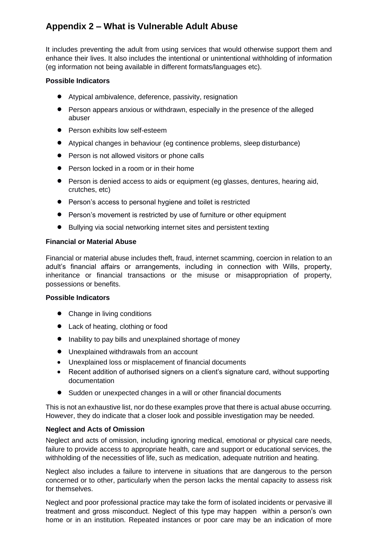It includes preventing the adult from using services that would otherwise support them and enhance their lives. It also includes the intentional or unintentional withholding of information (eg information not being available in different formats/languages etc).

## **Possible Indicators**

- Atypical ambivalence, deference, passivity, resignation
- Person appears anxious or withdrawn, especially in the presence of the alleged abuser
- Person exhibits low self-esteem
- Atypical changes in behaviour (eg continence problems, sleep disturbance)
- Person is not allowed visitors or phone calls
- Person locked in a room or in their home
- Person is denied access to aids or equipment (eg glasses, dentures, hearing aid, crutches, etc)
- Person's access to personal hygiene and toilet is restricted
- Person's movement is restricted by use of furniture or other equipment
- Bullying via social networking internet sites and persistent texting

#### **Financial or Material Abuse**

Financial or material abuse includes theft, fraud, internet scamming, coercion in relation to an adult's financial affairs or arrangements, including in connection with Wills, property, inheritance or financial transactions or the misuse or misappropriation of property, possessions or benefits.

#### **Possible Indicators**

- Change in living conditions
- Lack of heating, clothing or food
- Inability to pay bills and unexplained shortage of money
- Unexplained withdrawals from an account
- Unexplained loss or misplacement of financial documents
- Recent addition of authorised signers on a client's signature card, without supporting documentation
- Sudden or unexpected changes in a will or other financial documents

This is not an exhaustive list, nor do these examples prove that there is actual abuse occurring. However, they do indicate that a closer look and possible investigation may be needed.

#### **Neglect and Acts of Omission**

Neglect and acts of omission, including ignoring medical, emotional or physical care needs, failure to provide access to appropriate health, care and support or educational services, the withholding of the necessities of life, such as medication, adequate nutrition and heating.

Neglect also includes a failure to intervene in situations that are dangerous to the person concerned or to other, particularly when the person lacks the mental capacity to assess risk for themselves.

Neglect and poor professional practice may take the form of isolated incidents or pervasive ill treatment and gross misconduct. Neglect of this type may happen within a person's own home or in an institution. Repeated instances or poor care may be an indication of more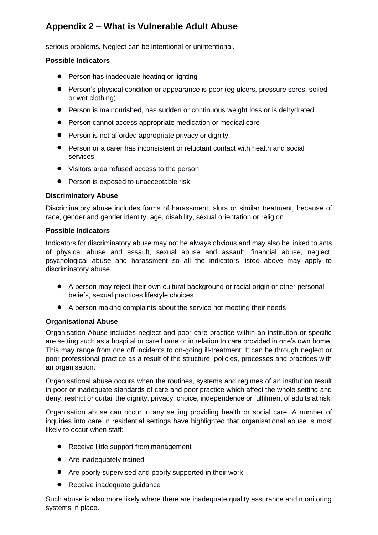serious problems. Neglect can be intentional or unintentional.

### **Possible Indicators**

- Person has inadequate heating or lighting
- Person's physical condition or appearance is poor (eg ulcers, pressure sores, soiled or wet clothing)
- Person is malnourished, has sudden or continuous weight loss or is dehydrated
- Person cannot access appropriate medication or medical care
- Person is not afforded appropriate privacy or dignity
- Person or a carer has inconsistent or reluctant contact with health and social services
- Visitors area refused access to the person
- Person is exposed to unacceptable risk

## **Discriminatory Abuse**

Discriminatory abuse includes forms of harassment, slurs or similar treatment, because of race, gender and gender identity, age, disability, sexual orientation or religion

#### **Possible Indicators**

Indicators for discriminatory abuse may not be always obvious and may also be linked to acts of physical abuse and assault, sexual abuse and assault, financial abuse, neglect, psychological abuse and harassment so all the indicators listed above may apply to discriminatory abuse.

- A person may reject their own cultural background or racial origin or other personal beliefs, sexual practices lifestyle choices
- A person making complaints about the service not meeting their needs

#### **Organisational Abuse**

Organisation Abuse includes neglect and poor care practice within an institution or specific are setting such as a hospital or care home or in relation to care provided in one's own home. This may range from one off incidents to on-going ill-treatment. It can be through neglect or poor professional practice as a result of the structure, policies, processes and practices with an organisation.

Organisational abuse occurs when the routines, systems and regimes of an institution result in poor or inadequate standards of care and poor practice which affect the whole setting and deny, restrict or curtail the dignity, privacy, choice, independence or fulfilment of adults at risk.

Organisation abuse can occur in any setting providing health or social care. A number of inquiries into care in residential settings have highlighted that organisational abuse is most likely to occur when staff:

- Receive little support from management
- Are inadequately trained
- Are poorly supervised and poorly supported in their work
- Receive inadequate guidance

Such abuse is also more likely where there are inadequate quality assurance and monitoring systems in place.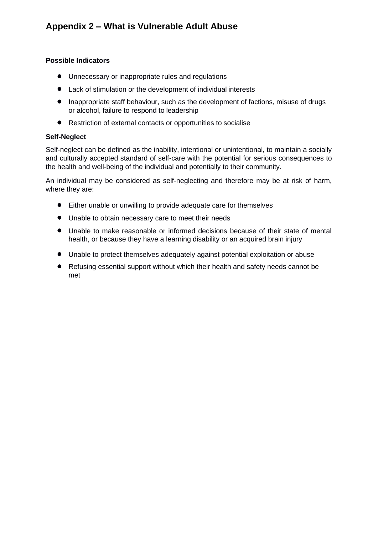## **Possible Indicators**

- Unnecessary or inappropriate rules and regulations
- Lack of stimulation or the development of individual interests
- Inappropriate staff behaviour, such as the development of factions, misuse of drugs or alcohol, failure to respond to leadership
- Restriction of external contacts or opportunities to socialise

## **Self-Neglect**

Self-neglect can be defined as the inability, intentional or unintentional, to maintain a socially and culturally accepted standard of self-care with the potential for serious consequences to the health and well-being of the individual and potentially to their community.

An individual may be considered as self-neglecting and therefore may be at risk of harm, where they are:

- Either unable or unwilling to provide adequate care for themselves
- Unable to obtain necessary care to meet their needs
- Unable to make reasonable or informed decisions because of their state of mental health, or because they have a learning disability or an acquired brain injury
- Unable to protect themselves adequately against potential exploitation or abuse
- Refusing essential support without which their health and safety needs cannot be met